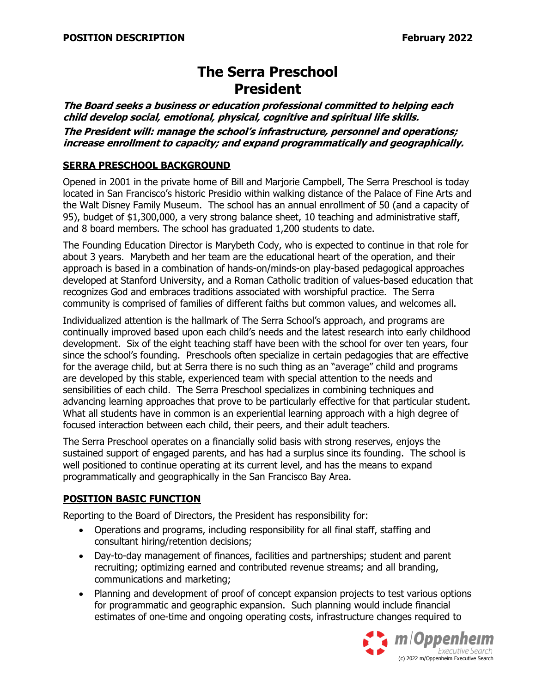# **The Serra Preschool President**

**The Board seeks a business or education professional committed to helping each child develop social, emotional, physical, cognitive and spiritual life skills.** 

**The President will: manage the school's infrastructure, personnel and operations; increase enrollment to capacity; and expand programmatically and geographically.**

#### **SERRA PRESCHOOL BACKGROUND**

Opened in 2001 in the private home of Bill and Marjorie Campbell, The Serra Preschool is today located in San Francisco's historic Presidio within walking distance of the Palace of Fine Arts and the Walt Disney Family Museum. The school has an annual enrollment of 50 (and a capacity of 95), budget of \$1,300,000, a very strong balance sheet, 10 teaching and administrative staff, and 8 board members. The school has graduated 1,200 students to date.

The Founding Education Director is Marybeth Cody, who is expected to continue in that role for about 3 years. Marybeth and her team are the educational heart of the operation, and their approach is based in a combination of hands-on/minds-on play-based pedagogical approaches developed at Stanford University, and a Roman Catholic tradition of values-based education that recognizes God and embraces traditions associated with worshipful practice. The Serra community is comprised of families of different faiths but common values, and welcomes all.

Individualized attention is the hallmark of The Serra School's approach, and programs are continually improved based upon each child's needs and the latest research into early childhood development. Six of the eight teaching staff have been with the school for over ten years, four since the school's founding. Preschools often specialize in certain pedagogies that are effective for the average child, but at Serra there is no such thing as an "average" child and programs are developed by this stable, experienced team with special attention to the needs and sensibilities of each child. The Serra Preschool specializes in combining techniques and advancing learning approaches that prove to be particularly effective for that particular student. What all students have in common is an experiential learning approach with a high degree of focused interaction between each child, their peers, and their adult teachers.

The Serra Preschool operates on a financially solid basis with strong reserves, enjoys the sustained support of engaged parents, and has had a surplus since its founding. The school is well positioned to continue operating at its current level, and has the means to expand programmatically and geographically in the San Francisco Bay Area.

#### **POSITION BASIC FUNCTION**

Reporting to the Board of Directors, the President has responsibility for:

- Operations and programs, including responsibility for all final staff, staffing and consultant hiring/retention decisions;
- Day-to-day management of finances, facilities and partnerships; student and parent recruiting; optimizing earned and contributed revenue streams; and all branding, communications and marketing;
- Planning and development of proof of concept expansion projects to test various options for programmatic and geographic expansion. Such planning would include financial estimates of one-time and ongoing operating costs, infrastructure changes required to

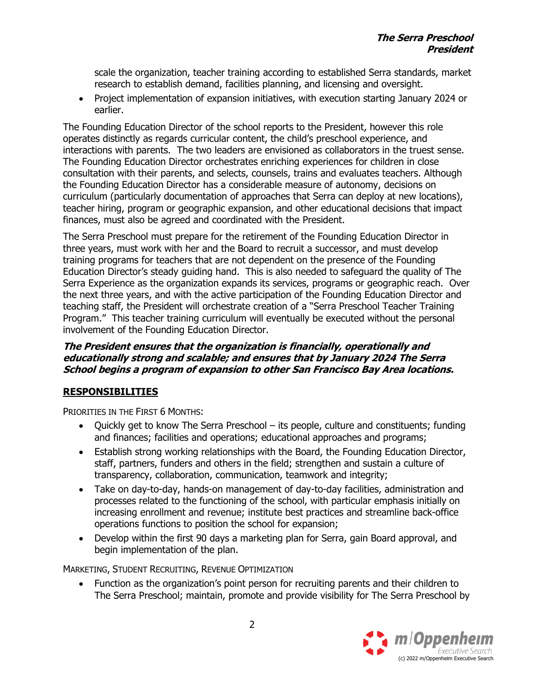scale the organization, teacher training according to established Serra standards, market research to establish demand, facilities planning, and licensing and oversight.

• Project implementation of expansion initiatives, with execution starting January 2024 or earlier.

The Founding Education Director of the school reports to the President, however this role operates distinctly as regards curricular content, the child's preschool experience, and interactions with parents. The two leaders are envisioned as collaborators in the truest sense. The Founding Education Director orchestrates enriching experiences for children in close consultation with their parents, and selects, counsels, trains and evaluates teachers. Although the Founding Education Director has a considerable measure of autonomy, decisions on curriculum (particularly documentation of approaches that Serra can deploy at new locations), teacher hiring, program or geographic expansion, and other educational decisions that impact finances, must also be agreed and coordinated with the President.

The Serra Preschool must prepare for the retirement of the Founding Education Director in three years, must work with her and the Board to recruit a successor, and must develop training programs for teachers that are not dependent on the presence of the Founding Education Director's steady guiding hand. This is also needed to safeguard the quality of The Serra Experience as the organization expands its services, programs or geographic reach. Over the next three years, and with the active participation of the Founding Education Director and teaching staff, the President will orchestrate creation of a "Serra Preschool Teacher Training Program." This teacher training curriculum will eventually be executed without the personal involvement of the Founding Education Director.

### **The President ensures that the organization is financially, operationally and educationally strong and scalable; and ensures that by January 2024 The Serra School begins a program of expansion to other San Francisco Bay Area locations.**

## **RESPONSIBILITIES**

PRIORITIES IN THE FIRST 6 MONTHS:

- Quickly get to know The Serra Preschool its people, culture and constituents; funding and finances; facilities and operations; educational approaches and programs;
- Establish strong working relationships with the Board, the Founding Education Director, staff, partners, funders and others in the field; strengthen and sustain a culture of transparency, collaboration, communication, teamwork and integrity;
- Take on day-to-day, hands-on management of day-to-day facilities, administration and processes related to the functioning of the school, with particular emphasis initially on increasing enrollment and revenue; institute best practices and streamline back-office operations functions to position the school for expansion;
- Develop within the first 90 days a marketing plan for Serra, gain Board approval, and begin implementation of the plan.

MARKETING, STUDENT RECRUITING, REVENUE OPTIMIZATION

• Function as the organization's point person for recruiting parents and their children to The Serra Preschool; maintain, promote and provide visibility for The Serra Preschool by

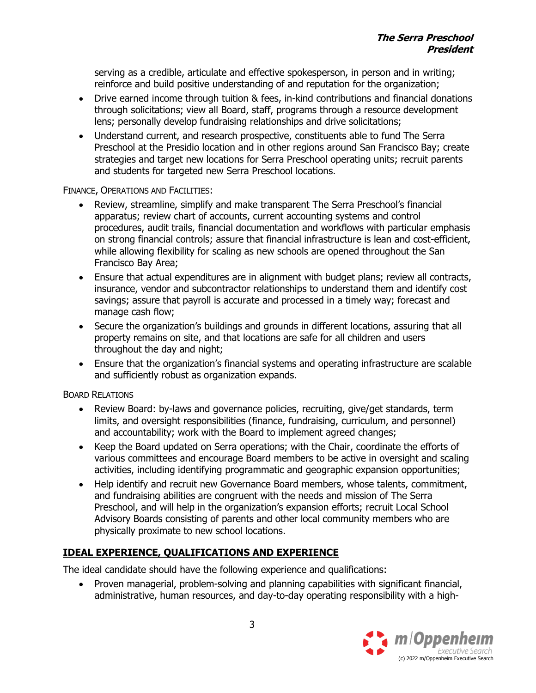serving as a credible, articulate and effective spokesperson, in person and in writing; reinforce and build positive understanding of and reputation for the organization;

- Drive earned income through tuition & fees, in-kind contributions and financial donations through solicitations; view all Board, staff, programs through a resource development lens; personally develop fundraising relationships and drive solicitations;
- Understand current, and research prospective, constituents able to fund The Serra Preschool at the Presidio location and in other regions around San Francisco Bay; create strategies and target new locations for Serra Preschool operating units; recruit parents and students for targeted new Serra Preschool locations.

FINANCE, OPERATIONS AND FACILITIES:

- Review, streamline, simplify and make transparent The Serra Preschool's financial apparatus; review chart of accounts, current accounting systems and control procedures, audit trails, financial documentation and workflows with particular emphasis on strong financial controls; assure that financial infrastructure is lean and cost-efficient, while allowing flexibility for scaling as new schools are opened throughout the San Francisco Bay Area;
- Ensure that actual expenditures are in alignment with budget plans; review all contracts, insurance, vendor and subcontractor relationships to understand them and identify cost savings; assure that payroll is accurate and processed in a timely way; forecast and manage cash flow;
- Secure the organization's buildings and grounds in different locations, assuring that all property remains on site, and that locations are safe for all children and users throughout the day and night;
- Ensure that the organization's financial systems and operating infrastructure are scalable and sufficiently robust as organization expands.

BOARD RELATIONS

- Review Board: by-laws and governance policies, recruiting, give/get standards, term limits, and oversight responsibilities (finance, fundraising, curriculum, and personnel) and accountability; work with the Board to implement agreed changes;
- Keep the Board updated on Serra operations; with the Chair, coordinate the efforts of various committees and encourage Board members to be active in oversight and scaling activities, including identifying programmatic and geographic expansion opportunities;
- Help identify and recruit new Governance Board members, whose talents, commitment, and fundraising abilities are congruent with the needs and mission of The Serra Preschool, and will help in the organization's expansion efforts; recruit Local School Advisory Boards consisting of parents and other local community members who are physically proximate to new school locations.

# **IDEAL EXPERIENCE, QUALIFICATIONS AND EXPERIENCE**

The ideal candidate should have the following experience and qualifications:

• Proven managerial, problem-solving and planning capabilities with significant financial, administrative, human resources, and day-to-day operating responsibility with a high-